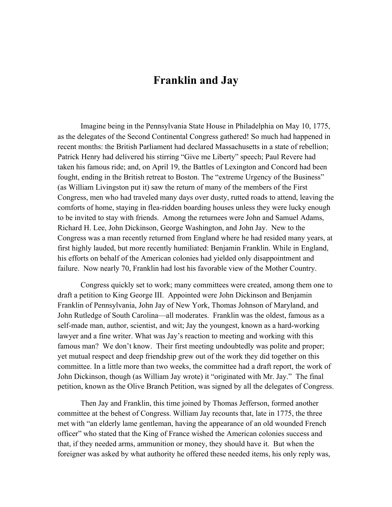## Franklin and Jay

Imagine being in the Pennsylvania State House in Philadelphia on May 10, 1775, as the delegates of the Second Continental Congress gathered! So much had happened in recent months: the British Parliament had declared Massachusetts in a state of rebellion; Patrick Henry had delivered his stirring "Give me Liberty" speech; Paul Revere had taken his famous ride; and, on April 19, the Battles of Lexington and Concord had been fought, ending in the British retreat to Boston. The "extreme Urgency of the Business" (as William Livingston put it) saw the return of many of the members of the First Congress, men who had traveled many days over dusty, rutted roads to attend, leaving the comforts of home, staying in flea-ridden boarding houses unless they were lucky enough to be invited to stay with friends. Among the returnees were John and Samuel Adams, Richard H. Lee, John Dickinson, George Washington, and John Jay. New to the Congress was a man recently returned from England where he had resided many years, at first highly lauded, but more recently humiliated: Benjamin Franklin. While in England, his efforts on behalf of the American colonies had yielded only disappointment and failure. Now nearly 70, Franklin had lost his favorable view of the Mother Country.

Congress quickly set to work; many committees were created, among them one to draft a petition to King George III. Appointed were John Dickinson and Benjamin Franklin of Pennsylvania, John Jay of New York, Thomas Johnson of Maryland, and John Rutledge of South Carolina—all moderates. Franklin was the oldest, famous as a self-made man, author, scientist, and wit; Jay the youngest, known as a hard-working lawyer and a fine writer. What was Jay's reaction to meeting and working with this famous man? We don't know. Their first meeting undoubtedly was polite and proper; yet mutual respect and deep friendship grew out of the work they did together on this committee. In a little more than two weeks, the committee had a draft report, the work of John Dickinson, though (as William Jay wrote) it "originated with Mr. Jay." The final petition, known as the Olive Branch Petition, was signed by all the delegates of Congress.

 Then Jay and Franklin, this time joined by Thomas Jefferson, formed another committee at the behest of Congress. William Jay recounts that, late in 1775, the three met with "an elderly lame gentleman, having the appearance of an old wounded French officer" who stated that the King of France wished the American colonies success and that, if they needed arms, ammunition or money, they should have it. But when the foreigner was asked by what authority he offered these needed items, his only reply was,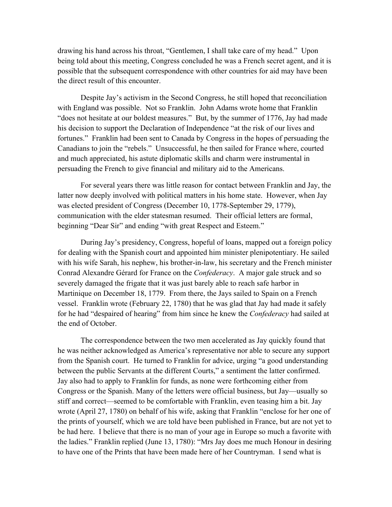drawing his hand across his throat, "Gentlemen, I shall take care of my head." Upon being told about this meeting, Congress concluded he was a French secret agent, and it is possible that the subsequent correspondence with other countries for aid may have been the direct result of this encounter.

Despite Jay's activism in the Second Congress, he still hoped that reconciliation with England was possible. Not so Franklin. John Adams wrote home that Franklin "does not hesitate at our boldest measures." But, by the summer of 1776, Jay had made his decision to support the Declaration of Independence "at the risk of our lives and fortunes." Franklin had been sent to Canada by Congress in the hopes of persuading the Canadians to join the "rebels." Unsuccessful, he then sailed for France where, courted and much appreciated, his astute diplomatic skills and charm were instrumental in persuading the French to give financial and military aid to the Americans.

For several years there was little reason for contact between Franklin and Jay, the latter now deeply involved with political matters in his home state. However, when Jay was elected president of Congress (December 10, 1778-September 29, 1779), communication with the elder statesman resumed. Their official letters are formal, beginning "Dear Sir" and ending "with great Respect and Esteem."

During Jay's presidency, Congress, hopeful of loans, mapped out a foreign policy for dealing with the Spanish court and appointed him minister plenipotentiary. He sailed with his wife Sarah, his nephew, his brother-in-law, his secretary and the French minister Conrad Alexandre Gérard for France on the *Confederacy*. A major gale struck and so severely damaged the frigate that it was just barely able to reach safe harbor in Martinique on December 18, 1779. From there, the Jays sailed to Spain on a French vessel. Franklin wrote (February 22, 1780) that he was glad that Jay had made it safely for he had "despaired of hearing" from him since he knew the *Confederacy* had sailed at the end of October.

The correspondence between the two men accelerated as Jay quickly found that he was neither acknowledged as America's representative nor able to secure any support from the Spanish court. He turned to Franklin for advice, urging "a good understanding between the public Servants at the different Courts," a sentiment the latter confirmed. Jay also had to apply to Franklin for funds, as none were forthcoming either from Congress or the Spanish. Many of the letters were official business, but Jay—usually so stiff and correct—seemed to be comfortable with Franklin, even teasing him a bit. Jay wrote (April 27, 1780) on behalf of his wife, asking that Franklin "enclose for her one of the prints of yourself, which we are told have been published in France, but are not yet to be had here. I believe that there is no man of your age in Europe so much a favorite with the ladies." Franklin replied (June 13, 1780): "Mrs Jay does me much Honour in desiring to have one of the Prints that have been made here of her Countryman. I send what is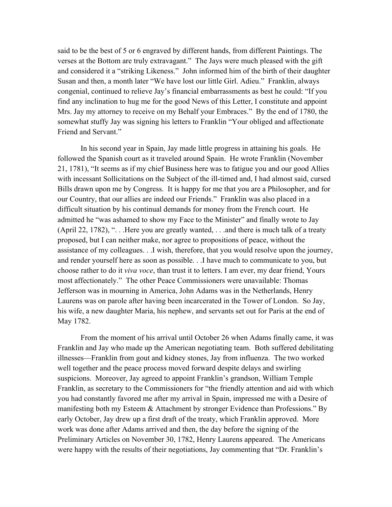said to be the best of 5 or 6 engraved by different hands, from different Paintings. The verses at the Bottom are truly extravagant." The Jays were much pleased with the gift and considered it a "striking Likeness." John informed him of the birth of their daughter Susan and then, a month later "We have lost our little Girl. Adieu." Franklin, always congenial, continued to relieve Jay's financial embarrassments as best he could: "If you find any inclination to hug me for the good News of this Letter, I constitute and appoint Mrs. Jay my attorney to receive on my Behalf your Embraces." By the end of 1780, the somewhat stuffy Jay was signing his letters to Franklin "Your obliged and affectionate Friend and Servant."

In his second year in Spain, Jay made little progress in attaining his goals. He followed the Spanish court as it traveled around Spain. He wrote Franklin (November 21, 1781), "It seems as if my chief Business here was to fatigue you and our good Allies with incessant Sollicitations on the Subject of the ill-timed and, I had almost said, cursed Bills drawn upon me by Congress. It is happy for me that you are a Philosopher, and for our Country, that our allies are indeed our Friends." Franklin was also placed in a difficult situation by his continual demands for money from the French court. He admitted he "was ashamed to show my Face to the Minister" and finally wrote to Jay (April 22, 1782), ". . .Here you are greatly wanted, . . .and there is much talk of a treaty proposed, but I can neither make, nor agree to propositions of peace, without the assistance of my colleagues. . .I wish, therefore, that you would resolve upon the journey, and render yourself here as soon as possible. . .I have much to communicate to you, but choose rather to do it *viva voce*, than trust it to letters. I am ever, my dear friend, Yours most affectionately." The other Peace Commissioners were unavailable: Thomas Jefferson was in mourning in America, John Adams was in the Netherlands, Henry Laurens was on parole after having been incarcerated in the Tower of London. So Jay, his wife, a new daughter Maria, his nephew, and servants set out for Paris at the end of May 1782.

From the moment of his arrival until October 26 when Adams finally came, it was Franklin and Jay who made up the American negotiating team. Both suffered debilitating illnesses—Franklin from gout and kidney stones, Jay from influenza. The two worked well together and the peace process moved forward despite delays and swirling suspicions. Moreover, Jay agreed to appoint Franklin's grandson, William Temple Franklin, as secretary to the Commissioners for "the friendly attention and aid with which you had constantly favored me after my arrival in Spain, impressed me with a Desire of manifesting both my Esteem & Attachment by stronger Evidence than Professions." By early October, Jay drew up a first draft of the treaty, which Franklin approved. More work was done after Adams arrived and then, the day before the signing of the Preliminary Articles on November 30, 1782, Henry Laurens appeared. The Americans were happy with the results of their negotiations, Jay commenting that "Dr. Franklin's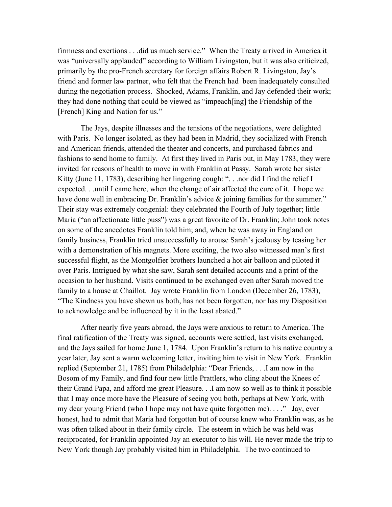firmness and exertions . . .did us much service." When the Treaty arrived in America it was "universally applauded" according to William Livingston, but it was also criticized, primarily by the pro-French secretary for foreign affairs Robert R. Livingston, Jay's friend and former law partner, who felt that the French had been inadequately consulted during the negotiation process. Shocked, Adams, Franklin, and Jay defended their work; they had done nothing that could be viewed as "impeach[ing] the Friendship of the [French] King and Nation for us."

The Jays, despite illnesses and the tensions of the negotiations, were delighted with Paris. No longer isolated, as they had been in Madrid, they socialized with French and American friends, attended the theater and concerts, and purchased fabrics and fashions to send home to family. At first they lived in Paris but, in May 1783, they were invited for reasons of health to move in with Franklin at Passy. Sarah wrote her sister Kitty (June 11, 1783), describing her lingering cough: ". . .nor did I find the relief I expected. . .until I came here, when the change of air affected the cure of it. I hope we have done well in embracing Dr. Franklin's advice & joining families for the summer." Their stay was extremely congenial: they celebrated the Fourth of July together; little Maria ("an affectionate little puss") was a great favorite of Dr. Franklin; John took notes on some of the anecdotes Franklin told him; and, when he was away in England on family business, Franklin tried unsuccessfully to arouse Sarah's jealousy by teasing her with a demonstration of his magnets. More exciting, the two also witnessed man's first successful flight, as the Montgolfier brothers launched a hot air balloon and piloted it over Paris. Intrigued by what she saw, Sarah sent detailed accounts and a print of the occasion to her husband. Visits continued to be exchanged even after Sarah moved the family to a house at Chaillot. Jay wrote Franklin from London (December 26, 1783), "The Kindness you have shewn us both, has not been forgotten, nor has my Disposition to acknowledge and be influenced by it in the least abated."

After nearly five years abroad, the Jays were anxious to return to America. The final ratification of the Treaty was signed, accounts were settled, last visits exchanged, and the Jays sailed for home June 1, 1784. Upon Franklin's return to his native country a year later, Jay sent a warm welcoming letter, inviting him to visit in New York. Franklin replied (September 21, 1785) from Philadelphia: "Dear Friends, . . .I am now in the Bosom of my Family, and find four new little Prattlers, who cling about the Knees of their Grand Papa, and afford me great Pleasure. . .I am now so well as to think it possible that I may once more have the Pleasure of seeing you both, perhaps at New York, with my dear young Friend (who I hope may not have quite forgotten me). . . ." Jay, ever honest, had to admit that Maria had forgotten but of course knew who Franklin was, as he was often talked about in their family circle. The esteem in which he was held was reciprocated, for Franklin appointed Jay an executor to his will. He never made the trip to New York though Jay probably visited him in Philadelphia. The two continued to